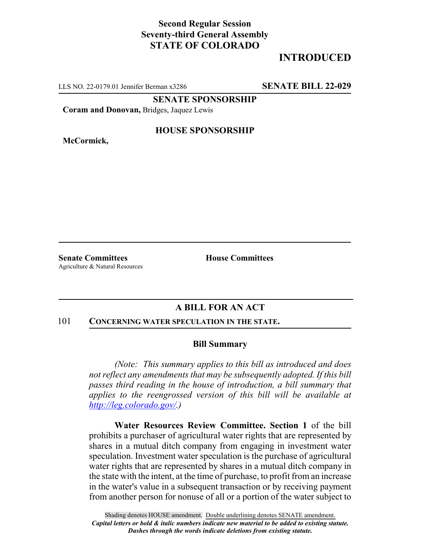## **Second Regular Session Seventy-third General Assembly STATE OF COLORADO**

# **INTRODUCED**

LLS NO. 22-0179.01 Jennifer Berman x3286 **SENATE BILL 22-029**

**SENATE SPONSORSHIP**

**Coram and Donovan,** Bridges, Jaquez Lewis

**McCormick,**

### **HOUSE SPONSORSHIP**

**Senate Committees House Committees** Agriculture & Natural Resources

## **A BILL FOR AN ACT**

#### 101 **CONCERNING WATER SPECULATION IN THE STATE.**

### **Bill Summary**

*(Note: This summary applies to this bill as introduced and does not reflect any amendments that may be subsequently adopted. If this bill passes third reading in the house of introduction, a bill summary that applies to the reengrossed version of this bill will be available at http://leg.colorado.gov/.)*

**Water Resources Review Committee. Section 1** of the bill prohibits a purchaser of agricultural water rights that are represented by shares in a mutual ditch company from engaging in investment water speculation. Investment water speculation is the purchase of agricultural water rights that are represented by shares in a mutual ditch company in the state with the intent, at the time of purchase, to profit from an increase in the water's value in a subsequent transaction or by receiving payment from another person for nonuse of all or a portion of the water subject to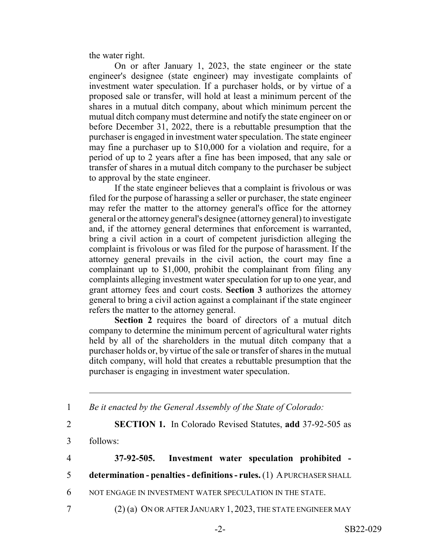the water right.

On or after January 1, 2023, the state engineer or the state engineer's designee (state engineer) may investigate complaints of investment water speculation. If a purchaser holds, or by virtue of a proposed sale or transfer, will hold at least a minimum percent of the shares in a mutual ditch company, about which minimum percent the mutual ditch company must determine and notify the state engineer on or before December 31, 2022, there is a rebuttable presumption that the purchaser is engaged in investment water speculation. The state engineer may fine a purchaser up to \$10,000 for a violation and require, for a period of up to 2 years after a fine has been imposed, that any sale or transfer of shares in a mutual ditch company to the purchaser be subject to approval by the state engineer.

If the state engineer believes that a complaint is frivolous or was filed for the purpose of harassing a seller or purchaser, the state engineer may refer the matter to the attorney general's office for the attorney general or the attorney general's designee (attorney general) to investigate and, if the attorney general determines that enforcement is warranted, bring a civil action in a court of competent jurisdiction alleging the complaint is frivolous or was filed for the purpose of harassment. If the attorney general prevails in the civil action, the court may fine a complainant up to \$1,000, prohibit the complainant from filing any complaints alleging investment water speculation for up to one year, and grant attorney fees and court costs. **Section 3** authorizes the attorney general to bring a civil action against a complainant if the state engineer refers the matter to the attorney general.

**Section 2** requires the board of directors of a mutual ditch company to determine the minimum percent of agricultural water rights held by all of the shareholders in the mutual ditch company that a purchaser holds or, by virtue of the sale or transfer of shares in the mutual ditch company, will hold that creates a rebuttable presumption that the purchaser is engaging in investment water speculation.

- 1 *Be it enacted by the General Assembly of the State of Colorado:* 2 **SECTION 1.** In Colorado Revised Statutes, **add** 37-92-505 as 3 follows: 4 **37-92-505. Investment water speculation prohibited -** 5 **determination - penalties - definitions - rules.** (1) A PURCHASER SHALL 6 NOT ENGAGE IN INVESTMENT WATER SPECULATION IN THE STATE.
- 7 (2) (a) ON OR AFTER JANUARY 1, 2023, THE STATE ENGINEER MAY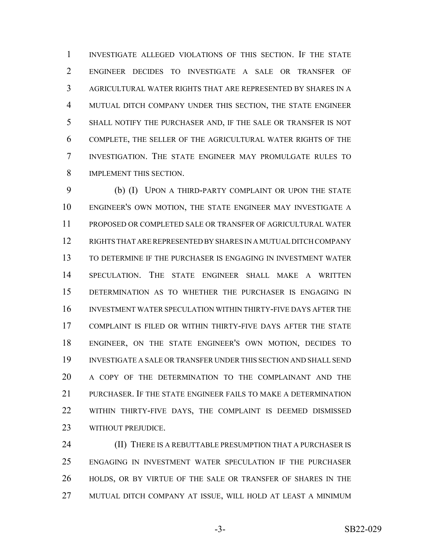INVESTIGATE ALLEGED VIOLATIONS OF THIS SECTION. IF THE STATE ENGINEER DECIDES TO INVESTIGATE A SALE OR TRANSFER OF AGRICULTURAL WATER RIGHTS THAT ARE REPRESENTED BY SHARES IN A MUTUAL DITCH COMPANY UNDER THIS SECTION, THE STATE ENGINEER SHALL NOTIFY THE PURCHASER AND, IF THE SALE OR TRANSFER IS NOT COMPLETE, THE SELLER OF THE AGRICULTURAL WATER RIGHTS OF THE INVESTIGATION. THE STATE ENGINEER MAY PROMULGATE RULES TO IMPLEMENT THIS SECTION.

 (b) (I) UPON A THIRD-PARTY COMPLAINT OR UPON THE STATE ENGINEER'S OWN MOTION, THE STATE ENGINEER MAY INVESTIGATE A PROPOSED OR COMPLETED SALE OR TRANSFER OF AGRICULTURAL WATER RIGHTS THAT ARE REPRESENTED BY SHARES IN A MUTUAL DITCH COMPANY TO DETERMINE IF THE PURCHASER IS ENGAGING IN INVESTMENT WATER SPECULATION. THE STATE ENGINEER SHALL MAKE A WRITTEN DETERMINATION AS TO WHETHER THE PURCHASER IS ENGAGING IN INVESTMENT WATER SPECULATION WITHIN THIRTY-FIVE DAYS AFTER THE COMPLAINT IS FILED OR WITHIN THIRTY-FIVE DAYS AFTER THE STATE ENGINEER, ON THE STATE ENGINEER'S OWN MOTION, DECIDES TO INVESTIGATE A SALE OR TRANSFER UNDER THIS SECTION AND SHALL SEND A COPY OF THE DETERMINATION TO THE COMPLAINANT AND THE PURCHASER. IF THE STATE ENGINEER FAILS TO MAKE A DETERMINATION WITHIN THIRTY-FIVE DAYS, THE COMPLAINT IS DEEMED DISMISSED 23 WITHOUT PREJUDICE.

**(II) THERE IS A REBUTTABLE PRESUMPTION THAT A PURCHASER IS**  ENGAGING IN INVESTMENT WATER SPECULATION IF THE PURCHASER HOLDS, OR BY VIRTUE OF THE SALE OR TRANSFER OF SHARES IN THE MUTUAL DITCH COMPANY AT ISSUE, WILL HOLD AT LEAST A MINIMUM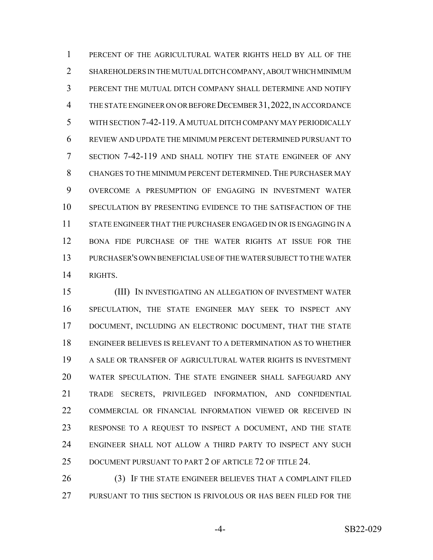PERCENT OF THE AGRICULTURAL WATER RIGHTS HELD BY ALL OF THE SHAREHOLDERS IN THE MUTUAL DITCH COMPANY, ABOUT WHICH MINIMUM PERCENT THE MUTUAL DITCH COMPANY SHALL DETERMINE AND NOTIFY THE STATE ENGINEER ON OR BEFORE DECEMBER 31,2022, IN ACCORDANCE WITH SECTION 7-42-119. A MUTUAL DITCH COMPANY MAY PERIODICALLY REVIEW AND UPDATE THE MINIMUM PERCENT DETERMINED PURSUANT TO SECTION 7-42-119 AND SHALL NOTIFY THE STATE ENGINEER OF ANY CHANGES TO THE MINIMUM PERCENT DETERMINED. THE PURCHASER MAY OVERCOME A PRESUMPTION OF ENGAGING IN INVESTMENT WATER SPECULATION BY PRESENTING EVIDENCE TO THE SATISFACTION OF THE STATE ENGINEER THAT THE PURCHASER ENGAGED IN OR IS ENGAGING IN A BONA FIDE PURCHASE OF THE WATER RIGHTS AT ISSUE FOR THE PURCHASER'S OWN BENEFICIAL USE OF THE WATER SUBJECT TO THE WATER RIGHTS.

 (III) IN INVESTIGATING AN ALLEGATION OF INVESTMENT WATER SPECULATION, THE STATE ENGINEER MAY SEEK TO INSPECT ANY DOCUMENT, INCLUDING AN ELECTRONIC DOCUMENT, THAT THE STATE ENGINEER BELIEVES IS RELEVANT TO A DETERMINATION AS TO WHETHER A SALE OR TRANSFER OF AGRICULTURAL WATER RIGHTS IS INVESTMENT WATER SPECULATION. THE STATE ENGINEER SHALL SAFEGUARD ANY TRADE SECRETS, PRIVILEGED INFORMATION, AND CONFIDENTIAL COMMERCIAL OR FINANCIAL INFORMATION VIEWED OR RECEIVED IN RESPONSE TO A REQUEST TO INSPECT A DOCUMENT, AND THE STATE ENGINEER SHALL NOT ALLOW A THIRD PARTY TO INSPECT ANY SUCH DOCUMENT PURSUANT TO PART 2 OF ARTICLE 72 OF TITLE 24.

26 (3) IF THE STATE ENGINEER BELIEVES THAT A COMPLAINT FILED PURSUANT TO THIS SECTION IS FRIVOLOUS OR HAS BEEN FILED FOR THE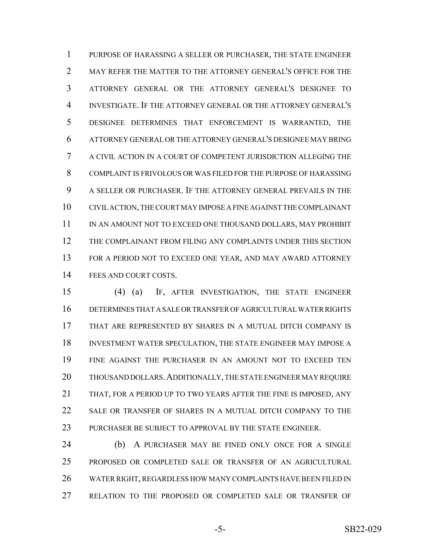PURPOSE OF HARASSING A SELLER OR PURCHASER, THE STATE ENGINEER 2 MAY REFER THE MATTER TO THE ATTORNEY GENERAL'S OFFICE FOR THE ATTORNEY GENERAL OR THE ATTORNEY GENERAL'S DESIGNEE TO INVESTIGATE. IF THE ATTORNEY GENERAL OR THE ATTORNEY GENERAL'S DESIGNEE DETERMINES THAT ENFORCEMENT IS WARRANTED, THE ATTORNEY GENERAL OR THE ATTORNEY GENERAL'S DESIGNEE MAY BRING A CIVIL ACTION IN A COURT OF COMPETENT JURISDICTION ALLEGING THE COMPLAINT IS FRIVOLOUS OR WAS FILED FOR THE PURPOSE OF HARASSING A SELLER OR PURCHASER. IF THE ATTORNEY GENERAL PREVAILS IN THE CIVIL ACTION, THE COURT MAY IMPOSE A FINE AGAINST THE COMPLAINANT 11 IN AN AMOUNT NOT TO EXCEED ONE THOUSAND DOLLARS, MAY PROHIBIT THE COMPLAINANT FROM FILING ANY COMPLAINTS UNDER THIS SECTION 13 FOR A PERIOD NOT TO EXCEED ONE YEAR, AND MAY AWARD ATTORNEY 14 FEES AND COURT COSTS.

 (4) (a) IF, AFTER INVESTIGATION, THE STATE ENGINEER DETERMINES THAT A SALE OR TRANSFER OF AGRICULTURAL WATER RIGHTS THAT ARE REPRESENTED BY SHARES IN A MUTUAL DITCH COMPANY IS INVESTMENT WATER SPECULATION, THE STATE ENGINEER MAY IMPOSE A FINE AGAINST THE PURCHASER IN AN AMOUNT NOT TO EXCEED TEN THOUSAND DOLLARS.ADDITIONALLY, THE STATE ENGINEER MAY REQUIRE THAT, FOR A PERIOD UP TO TWO YEARS AFTER THE FINE IS IMPOSED, ANY SALE OR TRANSFER OF SHARES IN A MUTUAL DITCH COMPANY TO THE 23 PURCHASER BE SUBJECT TO APPROVAL BY THE STATE ENGINEER.

 (b) A PURCHASER MAY BE FINED ONLY ONCE FOR A SINGLE PROPOSED OR COMPLETED SALE OR TRANSFER OF AN AGRICULTURAL WATER RIGHT, REGARDLESS HOW MANY COMPLAINTS HAVE BEEN FILED IN RELATION TO THE PROPOSED OR COMPLETED SALE OR TRANSFER OF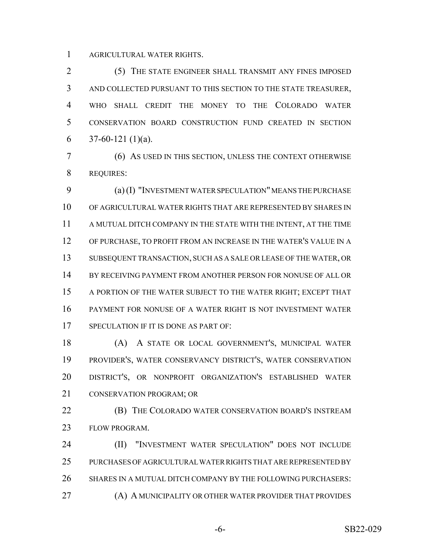AGRICULTURAL WATER RIGHTS.

 (5) THE STATE ENGINEER SHALL TRANSMIT ANY FINES IMPOSED AND COLLECTED PURSUANT TO THIS SECTION TO THE STATE TREASURER, WHO SHALL CREDIT THE MONEY TO THE COLORADO WATER CONSERVATION BOARD CONSTRUCTION FUND CREATED IN SECTION 6 37-60-121 (1)(a).

 (6) AS USED IN THIS SECTION, UNLESS THE CONTEXT OTHERWISE REQUIRES:

 (a) (I) "INVESTMENT WATER SPECULATION" MEANS THE PURCHASE OF AGRICULTURAL WATER RIGHTS THAT ARE REPRESENTED BY SHARES IN 11 A MUTUAL DITCH COMPANY IN THE STATE WITH THE INTENT, AT THE TIME OF PURCHASE, TO PROFIT FROM AN INCREASE IN THE WATER'S VALUE IN A SUBSEQUENT TRANSACTION, SUCH AS A SALE OR LEASE OF THE WATER, OR BY RECEIVING PAYMENT FROM ANOTHER PERSON FOR NONUSE OF ALL OR A PORTION OF THE WATER SUBJECT TO THE WATER RIGHT; EXCEPT THAT PAYMENT FOR NONUSE OF A WATER RIGHT IS NOT INVESTMENT WATER 17 SPECULATION IF IT IS DONE AS PART OF:

 (A) A STATE OR LOCAL GOVERNMENT'S, MUNICIPAL WATER PROVIDER'S, WATER CONSERVANCY DISTRICT'S, WATER CONSERVATION DISTRICT'S, OR NONPROFIT ORGANIZATION'S ESTABLISHED WATER CONSERVATION PROGRAM; OR

**(B)** THE COLORADO WATER CONSERVATION BOARD'S INSTREAM FLOW PROGRAM.

**(II)** "INVESTMENT WATER SPECULATION" DOES NOT INCLUDE PURCHASES OF AGRICULTURAL WATER RIGHTS THAT ARE REPRESENTED BY SHARES IN A MUTUAL DITCH COMPANY BY THE FOLLOWING PURCHASERS: (A) A MUNICIPALITY OR OTHER WATER PROVIDER THAT PROVIDES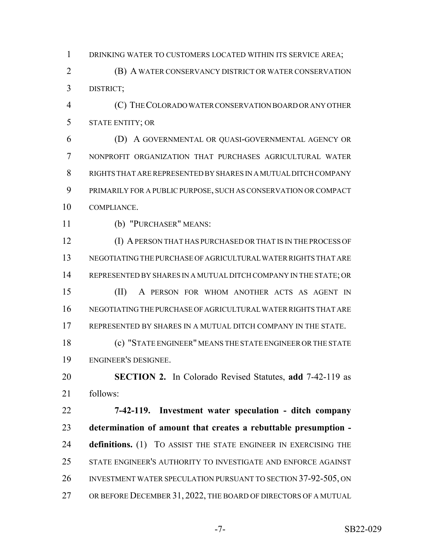DRINKING WATER TO CUSTOMERS LOCATED WITHIN ITS SERVICE AREA;

 (B) A WATER CONSERVANCY DISTRICT OR WATER CONSERVATION DISTRICT;

 (C) THE COLORADO WATER CONSERVATION BOARD OR ANY OTHER STATE ENTITY; OR

 (D) A GOVERNMENTAL OR QUASI-GOVERNMENTAL AGENCY OR NONPROFIT ORGANIZATION THAT PURCHASES AGRICULTURAL WATER RIGHTS THAT ARE REPRESENTED BY SHARES IN A MUTUAL DITCH COMPANY PRIMARILY FOR A PUBLIC PURPOSE, SUCH AS CONSERVATION OR COMPACT COMPLIANCE.

(b) "PURCHASER" MEANS:

 (I) A PERSON THAT HAS PURCHASED OR THAT IS IN THE PROCESS OF NEGOTIATING THE PURCHASE OF AGRICULTURAL WATER RIGHTS THAT ARE REPRESENTED BY SHARES IN A MUTUAL DITCH COMPANY IN THE STATE; OR (II) A PERSON FOR WHOM ANOTHER ACTS AS AGENT IN NEGOTIATING THE PURCHASE OF AGRICULTURAL WATER RIGHTS THAT ARE REPRESENTED BY SHARES IN A MUTUAL DITCH COMPANY IN THE STATE. (c) "STATE ENGINEER" MEANS THE STATE ENGINEER OR THE STATE ENGINEER'S DESIGNEE.

 **SECTION 2.** In Colorado Revised Statutes, **add** 7-42-119 as follows:

 **7-42-119. Investment water speculation - ditch company determination of amount that creates a rebuttable presumption - definitions.** (1) TO ASSIST THE STATE ENGINEER IN EXERCISING THE STATE ENGINEER'S AUTHORITY TO INVESTIGATE AND ENFORCE AGAINST INVESTMENT WATER SPECULATION PURSUANT TO SECTION 37-92-505, ON OR BEFORE DECEMBER 31, 2022, THE BOARD OF DIRECTORS OF A MUTUAL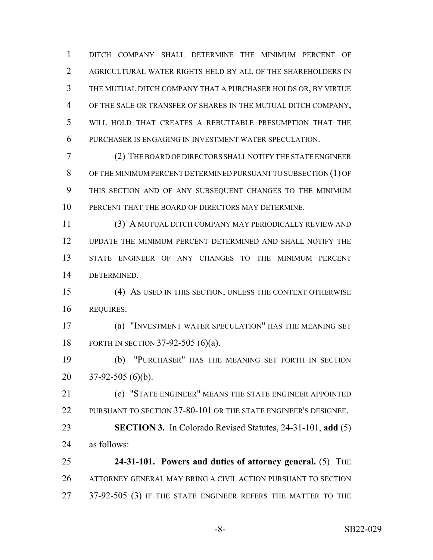DITCH COMPANY SHALL DETERMINE THE MINIMUM PERCENT OF AGRICULTURAL WATER RIGHTS HELD BY ALL OF THE SHAREHOLDERS IN THE MUTUAL DITCH COMPANY THAT A PURCHASER HOLDS OR, BY VIRTUE OF THE SALE OR TRANSFER OF SHARES IN THE MUTUAL DITCH COMPANY, WILL HOLD THAT CREATES A REBUTTABLE PRESUMPTION THAT THE PURCHASER IS ENGAGING IN INVESTMENT WATER SPECULATION.

 (2) THE BOARD OF DIRECTORS SHALL NOTIFY THE STATE ENGINEER OF THE MINIMUM PERCENT DETERMINED PURSUANT TO SUBSECTION (1) OF THIS SECTION AND OF ANY SUBSEQUENT CHANGES TO THE MINIMUM PERCENT THAT THE BOARD OF DIRECTORS MAY DETERMINE.

 (3) A MUTUAL DITCH COMPANY MAY PERIODICALLY REVIEW AND UPDATE THE MINIMUM PERCENT DETERMINED AND SHALL NOTIFY THE STATE ENGINEER OF ANY CHANGES TO THE MINIMUM PERCENT DETERMINED.

 (4) AS USED IN THIS SECTION, UNLESS THE CONTEXT OTHERWISE REQUIRES:

 (a) "INVESTMENT WATER SPECULATION" HAS THE MEANING SET FORTH IN SECTION 37-92-505 (6)(a).

 (b) "PURCHASER" HAS THE MEANING SET FORTH IN SECTION 37-92-505 (6)(b).

 (c) "STATE ENGINEER" MEANS THE STATE ENGINEER APPOINTED PURSUANT TO SECTION 37-80-101 OR THE STATE ENGINEER'S DESIGNEE.

 **SECTION 3.** In Colorado Revised Statutes, 24-31-101, **add** (5) as follows:

 **24-31-101. Powers and duties of attorney general.** (5) THE ATTORNEY GENERAL MAY BRING A CIVIL ACTION PURSUANT TO SECTION 37-92-505 (3) IF THE STATE ENGINEER REFERS THE MATTER TO THE